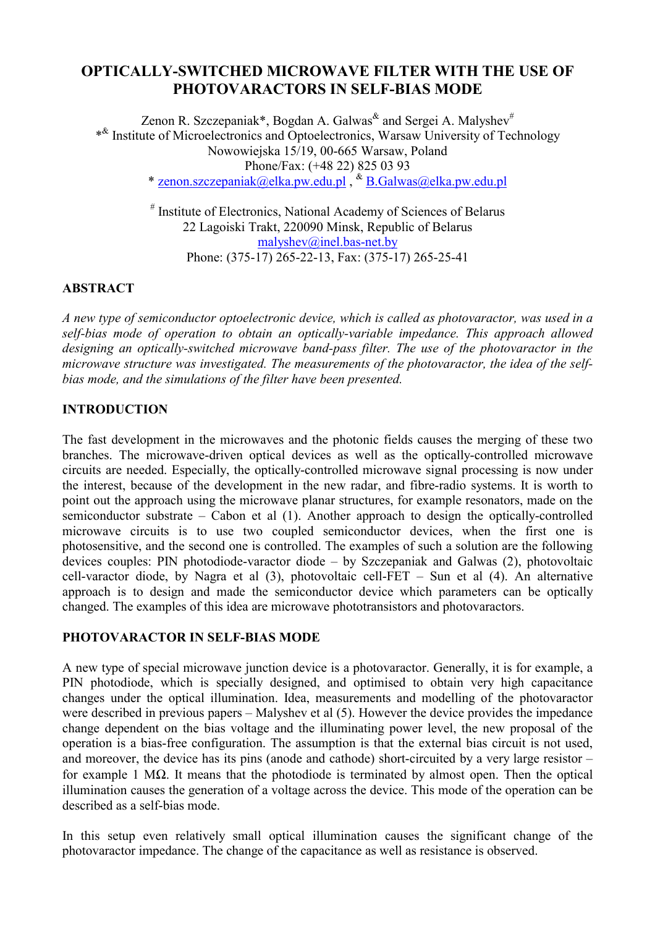# **OPTICALLY-SWITCHED MICROWAVE FILTER WITH THE USE OF PHOTOVARACTORS IN SELF-BIAS MODE**

Zenon R. Szczepaniak\*, Bogdan A. Galwas<sup>&</sup> and Sergei A. Malyshev<sup>#</sup> \*& Institute of Microelectronics and Optoelectronics, Warsaw University of Technology Nowowiejska 15/19, 00-665 Warsaw, Poland [Phone/Fax: \(+48 22](mailto:malyshev@inel.bas-net.by)) [825 03 93](mailto:malyshev@inel.bas-net.by)  \* zenon.szczepaniak@elka.pw.edu.pl ,  $\&$  B.Galwas@elka.pw.edu.pl

> # Institute of Electronics, National Academy of Sciences of Belarus 22 Lagoiski Trakt, 220090 Minsk, Republic of Belarus [malyshev@inel.bas-net.by](mailto:malyshev@inel.bas-net.by) Phone: (375-17) 265-22-13, Fax: (375-17) 265-25-41

### **ABSTRACT**

*A new type of semiconductor optoelectronic device, which is called as photovaractor, was used in a self-bias mode of operation to obtain an optically-variable impedance. This approach allowed designing an optically-switched microwave band-pass filter. The use of the photovaractor in the microwave structure was investigated. The measurements of the photovaractor, the idea of the selfbias mode, and the simulations of the filter have been presented.* 

## **INTRODUCTION**

The fast development in the microwaves and the photonic fields causes the merging of these two branches. The microwave-driven optical devices as well as the optically-controlled microwave circuits are needed. Especially, the optically-controlled microwave signal processing is now under the interest, because of the development in the new radar, and fibre-radio systems. It is worth to point out the approach using the microwave planar structures, for example resonators, made on the semiconductor substrate – Cabon et al (1). Another approach to design the optically-controlled microwave circuits is to use two coupled semiconductor devices, when the first one is photosensitive, and the second one is controlled. The examples of such a solution are the following devices couples: PIN photodiode-varactor diode – by Szczepaniak and Galwas (2), photovoltaic cell-varactor diode, by Nagra et al  $(3)$ , photovoltaic cell-FET – Sun et al  $(4)$ . An alternative approach is to design and made the semiconductor device which parameters can be optically changed. The examples of this idea are microwave phototransistors and photovaractors.

#### **PHOTOVARACTOR IN SELF-BIAS MODE**

A new type of special microwave junction device is a photovaractor. Generally, it is for example, a PIN photodiode, which is specially designed, and optimised to obtain very high capacitance changes under the optical illumination. Idea, measurements and modelling of the photovaractor were described in previous papers – Malyshev et al (5). However the device provides the impedance change dependent on the bias voltage and the illuminating power level, the new proposal of the operation is a bias-free configuration. The assumption is that the external bias circuit is not used, and moreover, the device has its pins (anode and cathode) short-circuited by a very large resistor – for example 1 MΩ. It means that the photodiode is terminated by almost open. Then the optical illumination causes the generation of a voltage across the device. This mode of the operation can be described as a self-bias mode.

In this setup even relatively small optical illumination causes the significant change of the photovaractor impedance. The change of the capacitance as well as resistance is observed.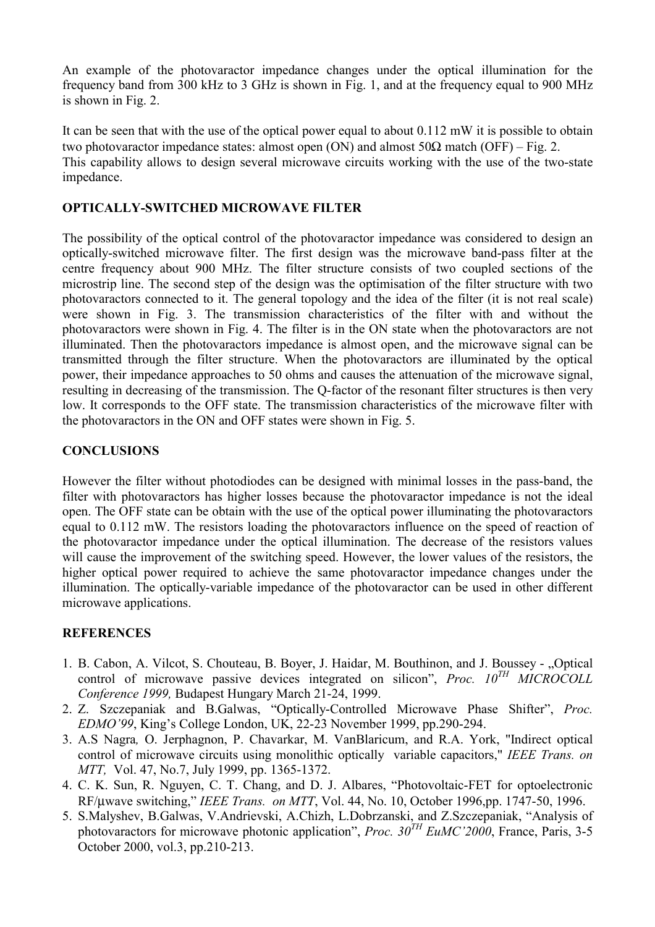An example of the photovaractor impedance changes under the optical illumination for the frequency band from 300 kHz to 3 GHz is shown in Fig. 1, and at the frequency equal to 900 MHz is shown in Fig. 2.

It can be seen that with the use of the optical power equal to about 0.112 mW it is possible to obtain two photovaractor impedance states: almost open (ON) and almost  $50\Omega$  match (OFF) – Fig. 2. This capability allows to design several microwave circuits working with the use of the two-state impedance.

# **OPTICALLY-SWITCHED MICROWAVE FILTER**

The possibility of the optical control of the photovaractor impedance was considered to design an optically-switched microwave filter. The first design was the microwave band-pass filter at the centre frequency about 900 MHz. The filter structure consists of two coupled sections of the microstrip line. The second step of the design was the optimisation of the filter structure with two photovaractors connected to it. The general topology and the idea of the filter (it is not real scale) were shown in Fig. 3. The transmission characteristics of the filter with and without the photovaractors were shown in Fig. 4. The filter is in the ON state when the photovaractors are not illuminated. Then the photovaractors impedance is almost open, and the microwave signal can be transmitted through the filter structure. When the photovaractors are illuminated by the optical power, their impedance approaches to 50 ohms and causes the attenuation of the microwave signal, resulting in decreasing of the transmission. The Q-factor of the resonant filter structures is then very low. It corresponds to the OFF state. The transmission characteristics of the microwave filter with the photovaractors in the ON and OFF states were shown in Fig. 5.

## **CONCLUSIONS**

However the filter without photodiodes can be designed with minimal losses in the pass-band, the filter with photovaractors has higher losses because the photovaractor impedance is not the ideal open. The OFF state can be obtain with the use of the optical power illuminating the photovaractors equal to 0.112 mW. The resistors loading the photovaractors influence on the speed of reaction of the photovaractor impedance under the optical illumination. The decrease of the resistors values will cause the improvement of the switching speed. However, the lower values of the resistors, the higher optical power required to achieve the same photovaractor impedance changes under the illumination. The optically-variable impedance of the photovaractor can be used in other different microwave applications.

### **REFERENCES**

- 1. B. Cabon, A. Vilcot, S. Chouteau, B. Boyer, J. Haidar, M. Bouthinon, and J. Boussey "Optical control of microwave passive devices integrated on silicon", *Proc. 10TH MICROCOLL Conference 1999,* Budapest Hungary March 21-24, 1999.
- 2. Z. Szczepaniak and B.Galwas, "Optically-Controlled Microwave Phase Shifter", *Proc. EDMO'99*, King's College London, UK, 22-23 November 1999, pp.290-294.
- 3. A.S Nagra*,* O. Jerphagnon, P. Chavarkar, M. VanBlaricum, and R.A. York, "Indirect optical control of microwave circuits using monolithic optically variable capacitors," *IEEE Trans. on MTT,* Vol. 47, No.7, July 1999, pp. 1365-1372.
- 4. C. K. Sun, R. Nguyen, C. T. Chang, and D. J. Albares, "Photovoltaic-FET for optoelectronic RF/µwave switching," *IEEE Trans. on MTT*, Vol. 44, No. 10, October 1996,pp. 1747-50, 1996.
- 5. S.Malyshev, B.Galwas, V.Andrievski, A.Chizh, L.Dobrzanski, and Z.Szczepaniak, "Analysis of photovaractors for microwave photonic application", *Proc. 30TH EuMC'2000*, France, Paris, 3-5 October 2000, vol.3, pp.210-213.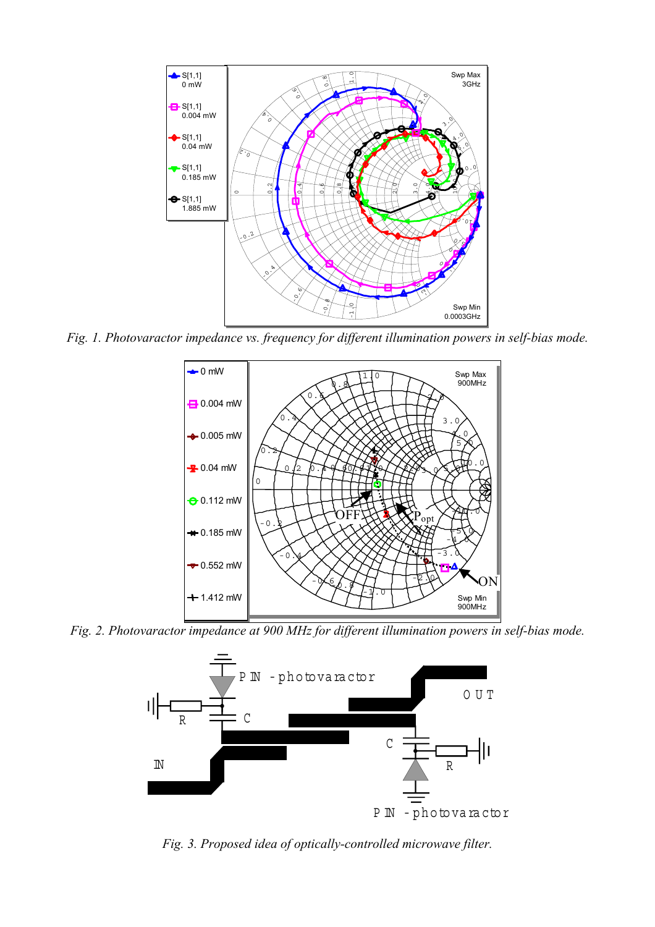

*Fig. 1. Photovaractor impedance vs. frequency for different illumination powers in self-bias mode.* 



*Fig. 2. Photovaractor impedance at 900 MHz for different illumination powers in self-bias mode.* 



*Fig. 3. Proposed idea of optically-controlled microwave filter.*